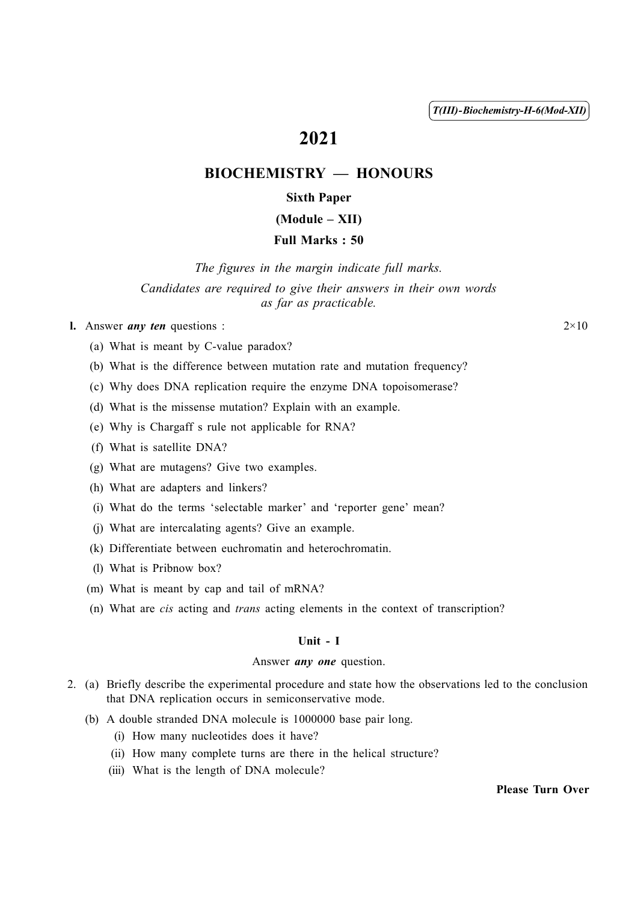T(III)-Biochemistry-H-6(Mod-XII)

# 2021

# BIOCHEMISTRY — HONOURS

# Sixth Paper

# (Module – XII)

# Full Marks : 50

The figures in the margin indicate full marks. Candidates are required to give their answers in their own words as far as practicable.

# **l.** Answer *any ten* questions :  $2 \times 10$

- (a) What is meant by C-value paradox?
- (b) What is the difference between mutation rate and mutation frequency?
- (c) Why does DNA replication require the enzyme DNA topoisomerase?
- (d) What is the missense mutation? Explain with an example.
- (e) Why is Chargaff s rule not applicable for RNA?
- (f) What is satellite DNA?
- (g) What are mutagens? Give two examples.
- (h) What are adapters and linkers?
- (i) What do the terms 'selectable marker' and 'reporter gene' mean?
- (j) What are intercalating agents? Give an example.
- (k) Differentiate between euchromatin and heterochromatin.
- (l) What is Pribnow box?
- (m) What is meant by cap and tail of mRNA?
- (n) What are cis acting and trans acting elements in the context of transcription?

#### Unit - I

#### Answer *any one* question.

- 2. (a) Briefly describe the experimental procedure and state how the observations led to the conclusion that DNA replication occurs in semiconservative mode.
	- (b) A double stranded DNA molecule is 1000000 base pair long.
		- (i) How many nucleotides does it have?
		- (ii) How many complete turns are there in the helical structure?
		- (iii) What is the length of DNA molecule?

Please Turn Over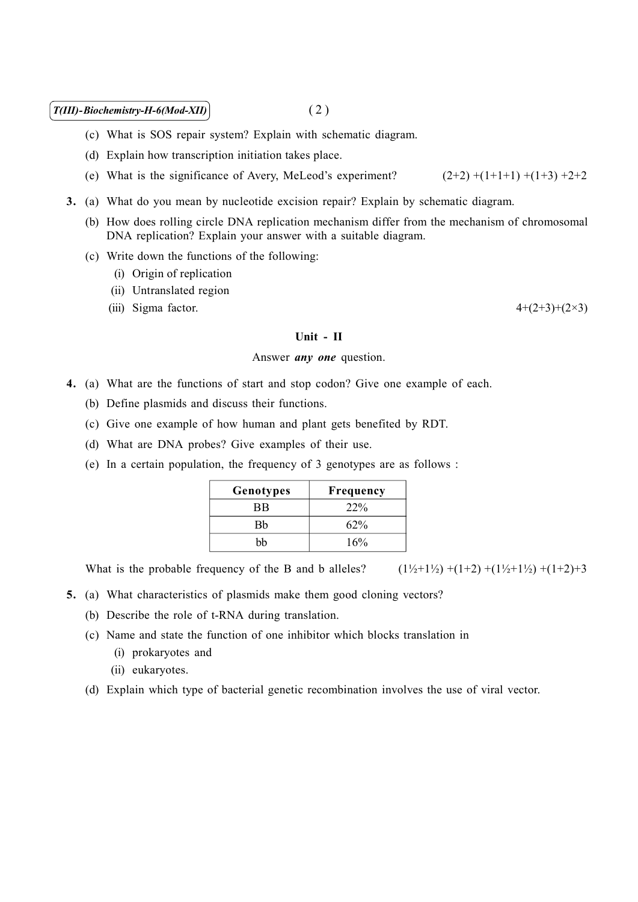## $T(III)$ -Biochemistry-H-6(Mod-XII) (2)

- (c) What is SOS repair system? Explain with schematic diagram.
- (d) Explain how transcription initiation takes place.
- (e) What is the significance of Avery, MeLeod's experiment?  $(2+2)$  +(1+1+1) +(1+3) +2+2
- 3. (a) What do you mean by nucleotide excision repair? Explain by schematic diagram.
	- (b) How does rolling circle DNA replication mechanism differ from the mechanism of chromosomal DNA replication? Explain your answer with a suitable diagram.
	- (c) Write down the functions of the following:
		- (i) Origin of replication
		- (ii) Untranslated region
		- (iii) Sigma factor.  $4+(2+3)+(2\times3)$

#### Unit - II

### Answer *any one* question.

- 4. (a) What are the functions of start and stop codon? Give one example of each.
	- (b) Define plasmids and discuss their functions.
	- (c) Give one example of how human and plant gets benefited by RDT.
	- (d) What are DNA probes? Give examples of their use.
	- (e) In a certain population, the frequency of 3 genotypes are as follows :

| Genotypes | Frequency |
|-----------|-----------|
| ВB        | 22%       |
| Bh        | 62%       |
| hh        | 16%       |

What is the probable frequency of the B and b alleles?  $(1\frac{1}{2}+1\frac{1}{2})+(1+2)+(1\frac{1}{2}+1\frac{1}{2})+(1+2)+3$ 

- 5. (a) What characteristics of plasmids make them good cloning vectors?
	- (b) Describe the role of t-RNA during translation.
	- (c) Name and state the function of one inhibitor which blocks translation in
		- (i) prokaryotes and
		- (ii) eukaryotes.
	- (d) Explain which type of bacterial genetic recombination involves the use of viral vector.